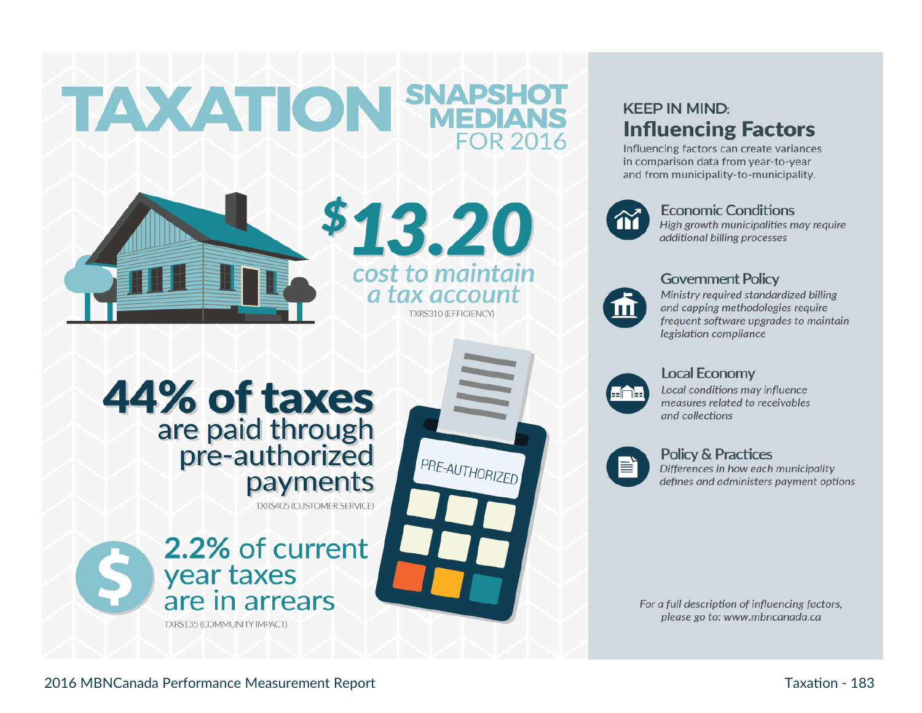



\$13.20 cost to maintain a tax account TXRS310 (EFFICIENCY)

PRE-AUTHORIZED

# 44% of taxes are paid through pre-authorized payments

**TXRS405 (CUSTOMER SERVICE)** 

2.2% of current year taxes are in arrears TXRS135 (COMMUNITY IMPACT)

# **KEEP IN MIND: Influencing Factors**

Influencing factors can create variances in comparison data from year-to-year and from municipality-to-municipality.



# **Economic Conditions**

High growth municipalities may require additional billing processes



# **Government Policy**

Ministry required standardized billing and capping methodologies require frequent software upgrades to maintain legislation compliance



## **Local Economy**

Local conditions may influence measures related to receivables and collections



## **Policy & Practices**

Differences in how each municipality defines and administers payment options

For a full description of influencing factors, please go to: www.mbncanada.ca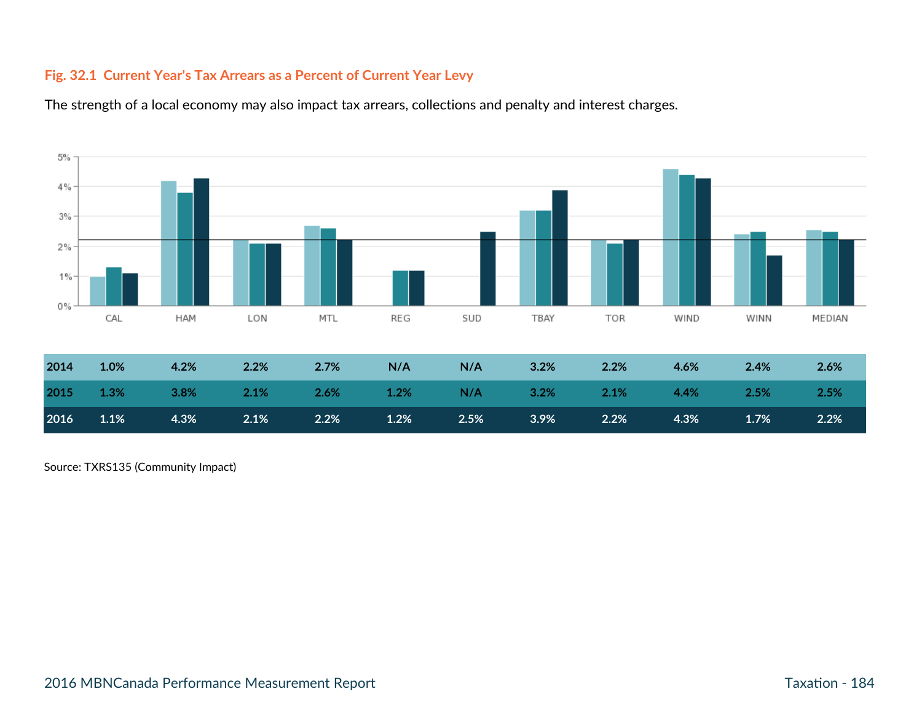# **Fig. 32.1 Current Year's Tax Arrears as a Percent of Current Year Levy**





| 2014 | 1.0%            | $4.2\%$ | $2.2\%$ 2.7% N/A        | N/A | $3.2\%$ 2.2% |                                                       | $4.6\%$ | $2.4\%$ | 2.6% |
|------|-----------------|---------|-------------------------|-----|--------------|-------------------------------------------------------|---------|---------|------|
|      |                 |         |                         |     |              | 2015 1.3% 3.8% 2.1% 2.6% 1.2% N/A 3.2% 2.1% 4.4% 2.5% |         |         | 2.5% |
| 2016 | $1.1\%$ $4.3\%$ |         | $2.1\%$ $2.2\%$ $1.2\%$ |     |              | $2.5\%$ $3.9\%$ $2.2\%$ $4.3\%$                       |         | 1.7%    | 2.2% |

Source: TXRS135 (Community Impact)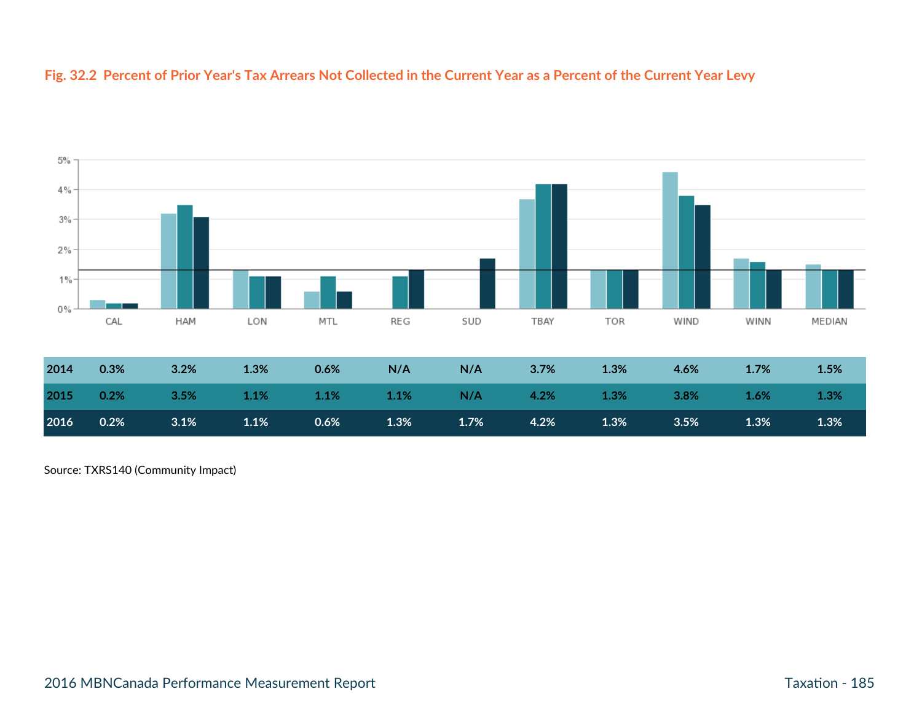#### **Fig. 32.2 Percent of Prior Year's Tax Arrears Not Collected in the Current Year as a Percent of the Current Year Levy**



**2016 0.2% 3.1% 1.1% 0.6% 1.3% 1.7% 4.2% 1.3% 3.5% 1.3% 1.3%**

Source: TXRS140 (Community Impact)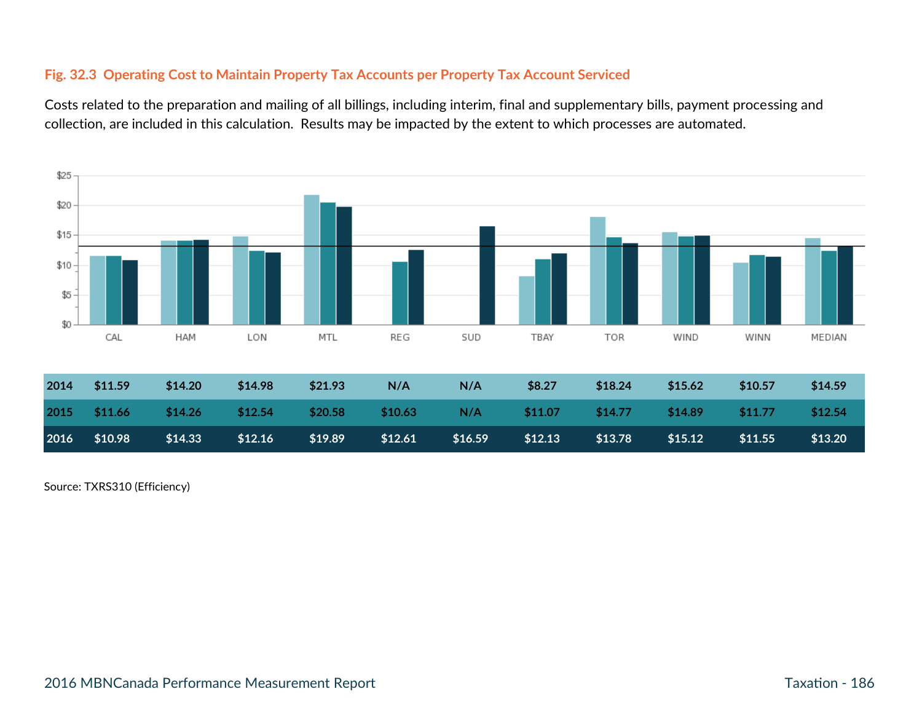# **Fig. 32.3 Operating Cost to Maintain Property Tax Accounts per Property Tax Account Serviced**

Costs related to the preparation and mailing of all billings, including interim, final and supplementary bills, payment processing and collection, are included in this calculation. Results may be impacted by the extent to which processes are automated.



Source: TXRS310 (Efficiency)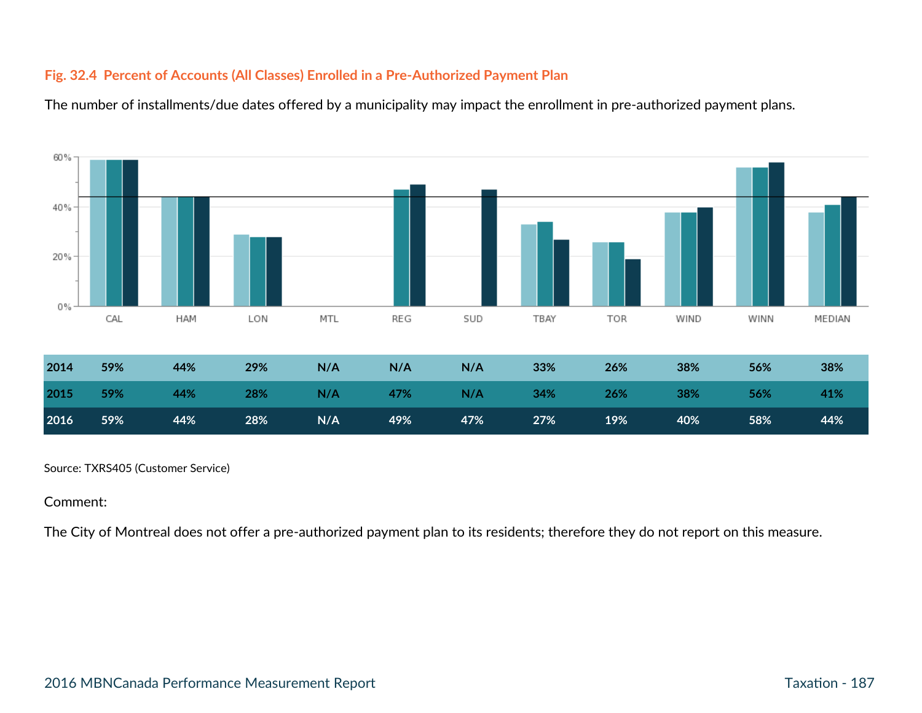# **Fig. 32.4 Percent of Accounts (All Classes) Enrolled in a Pre-Authorized Payment Plan**





Source: TXRS405 (Customer Service)

#### Comment:

The City of Montreal does not offer a pre-authorized payment plan to its residents; therefore they do not report on this measure.